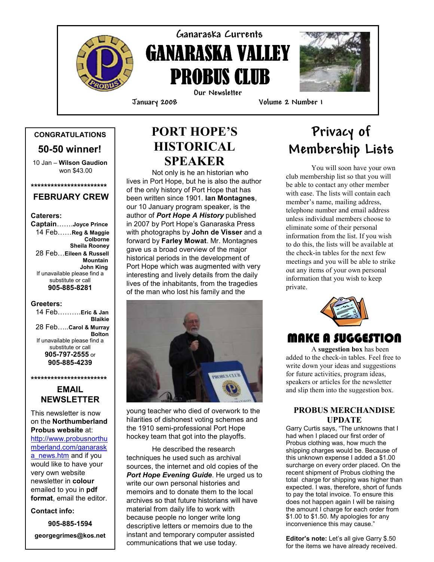

## Ganaraska Currents **GANARASKA VALLEY** PROBUS CLUB Our Newsletter

i



January 2008 Volume 2 Number 1

## CONGRATULATIONS

50-50 winner!

 10 Jan – Wilson Gaudion won \$43.00

#### \*\*\*\*\*\*\*\*\*\*\*\*\*\*\*\*\*\*\*\*\*\*\* FEBRUARY CREW

#### Caterers:

Captain…….Joyce Prince 14 Feb……Reg & Maggie Colborne Sheila Rooney 28 Feb…Eileen & Russell **Mountain**  John King If unavailable please find a substitute or call 905-885-8281

#### Greeters:

 14 Feb……….Eric & Jan Blaikie 28 Feb…..Carol & Murray **Bolton** If unavailable please find a substitute or call 905-797-2555 or 905-885-4239

### EMAIL NEWSLETTER

\*\*\*\*\*\*\*\*\*\*\*\*\*\*\*\*\*\*\*\*\*\*\*

This newsletter is now on the Northumberland Probus website at: http://www.probusnorthu mberland.com/ganarask a\_news.htm and if you would like to have your very own website newsletter in colour emailed to you in pdf

format, email the editor.

Contact info:

905-885-1594 georgegrimes@kos.net

## PORT HOPE'S **HISTORICAL** SPEAKER

Not only is he an historian who lives in Port Hope, but he is also the author of the only history of Port Hope that has been written since 1901. Ian Montagnes, our 10 January program speaker, is the author of Port Hope A History published in 2007 by Port Hope's Ganaraska Press with photographs by John de Visser and a forward by Farley Mowat. Mr. Montagnes gave us a broad overview of the major historical periods in the development of Port Hope which was augmented with very interesting and lively details from the daily lives of the inhabitants, from the tragedies of the man who lost his family and the



young teacher who died of overwork to the hilarities of dishonest voting schemes and the 1910 semi-professional Port Hope hockey team that got into the playoffs.

He described the research techniques he used such as archival sources, the internet and old copies of the Port Hope Evening Guide. He urged us to write our own personal histories and memoirs and to donate them to the local archives so that future historians will have material from daily life to work with because people no longer write long descriptive letters or memoirs due to the instant and temporary computer assisted communications that we use today.

# Privacy of Membership Lists

You will soon have your own club membership list so that you will be able to contact any other member with ease. The lists will contain each member's name, mailing address, telephone number and email address unless individual members choose to eliminate some of their personal information from the list. If you wish to do this, the lists will be available at the check-in tables for the next few meetings and you will be able to strike out any items of your own personal information that you wish to keep private.



## MAKE A SUGGESTION

A suggestion box has been added to the check-in tables. Feel free to write down your ideas and suggestions for future activities, program ideas, speakers or articles for the newsletter and slip them into the suggestion box.

#### PROBUS MERCHANDISE UPDATE

Garry Curtis says, "The unknowns that I had when I placed our first order of Probus clothing was, how much the shipping charges would be. Because of this unknown expense I added a \$1.00 surcharge on every order placed. On the recent shipment of Probus clothing the total charge for shipping was higher than expected. I was, therefore, short of funds to pay the total invoice. To ensure this does not happen again I will be raising the amount I charge for each order from \$1.00 to \$1.50. My apologies for any inconvenience this may cause."

Editor's note: Let's all give Garry \$.50 for the items we have already received.